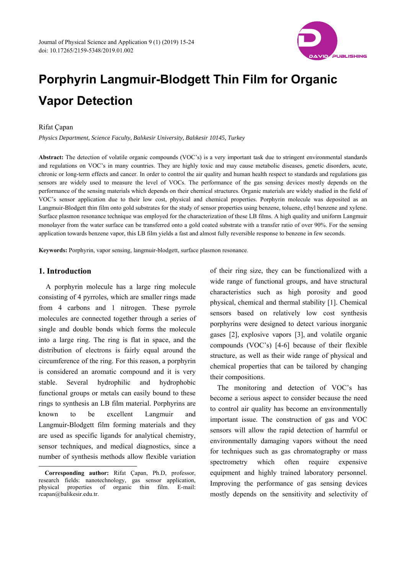

# **Porphyrin Langmuir-Blodgett Thin Film for Organic Vapor Detection**

## Rifat Çapan

*Physics Department, Science Faculty, Balıkesir University, Balıkesir 10145, Turkey* 

**Abstract:** The detection of volatile organic compounds (VOC's) is a very important task due to stringent environmental standards and regulations on VOC's in many countries. They are highly toxic and may cause metabolic diseases, genetic disorders, acute, chronic or long-term effects and cancer. In order to control the air quality and human health respect to standards and regulations gas sensors are widely used to measure the level of VOCs. The performance of the gas sensing devices mostly depends on the performance of the sensing materials which depends on their chemical structures. Organic materials are widely studied in the field of VOC's sensor application due to their low cost, physical and chemical properties. Porphyrin molecule was deposited as an Langmuir-Blodgett thin film onto gold substrates for the study of sensor properties using benzene, toluene, ethyl benzene and xylene. Surface plasmon resonance technique was employed for the characterization of these LB films. A high quality and uniform Langmuir monolayer from the water surface can be transferred onto a gold coated substrate with a transfer ratio of over 90%. For the sensing application towards benzene vapor, this LB film yields a fast and almost fully reversible response to benzene in few seconds.

**Keywords:** Porphyrin, vapor sensing, langmuir-blodgett, surface plasmon resonance.

### **1. Introduction**

 $\overline{\phantom{a}}$ 

A porphyrin molecule has a large ring molecule consisting of 4 pyrroles*,* which are smaller rings made from 4 carbons and 1 nitrogen. These pyrrole molecules are connected together through a series of single and double bonds which forms the molecule into a large ring. The ring is flat in space, and the distribution of electrons is fairly equal around the circumference of the ring. For this reason, a porphyrin is considered an aromatic compound and it is very stable. Several hydrophilic and hydrophobic functional groups or metals can easily bound to these rings to synthesis an LB film material. Porphyrins are known to be excellent Langmuir and Langmuir-Blodgett film forming materials and they are used as specific ligands for analytical chemistry, sensor techniques, and medical diagnostics, since a number of synthesis methods allow flexible variation

of their ring size, they can be functionalized with a wide range of functional groups, and have structural characteristics such as high porosity and good physical, chemical and thermal stability [1]. Chemical sensors based on relatively low cost synthesis porphyrins were designed to detect various inorganic gases [2], explosive vapors [3], and volatile organic compounds (VOC's) [4-6] because of their flexible structure, as well as their wide range of physical and chemical properties that can be tailored by changing their compositions.

The monitoring and detection of VOC's has become a serious aspect to consider because the need to control air quality has become an environmentally important issue. The construction of gas and VOC sensors will allow the rapid detection of harmful or environmentally damaging vapors without the need for techniques such as gas chromatography or mass spectrometry which often require expensive equipment and highly trained laboratory personnel. Improving the performance of gas sensing devices mostly depends on the sensitivity and selectivity of

**Corresponding author:** Rifat Çapan, Ph.D, professor, research fields: nanotechnology, gas sensor application, physical properties of organic thin film. E-mail: rcapan@balikesir.edu.tr.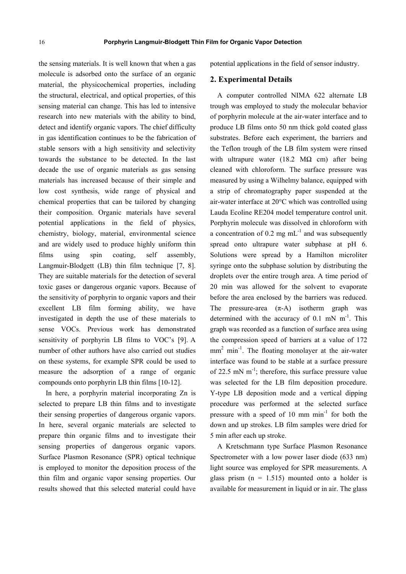the sensing materials. It is well known that when a gas molecule is adsorbed onto the surface of an organic material, the physicochemical properties, including the structural, electrical, and optical properties, of this sensing material can change. This has led to intensive research into new materials with the ability to bind, detect and identify organic vapors. The chief difficulty in gas identification continues to be the fabrication of stable sensors with a high sensitivity and selectivity towards the substance to be detected. In the last decade the use of organic materials as gas sensing materials has increased because of their simple and low cost synthesis, wide range of physical and chemical properties that can be tailored by changing their composition. Organic materials have several potential applications in the field of physics, chemistry, biology, material, environmental science and are widely used to produce highly uniform thin films using spin coating, self assembly, Langmuir-Blodgett (LB) thin film technique [7, 8]. They are suitable materials for the detection of several toxic gases or dangerous organic vapors. Because of the sensitivity of porphyrin to organic vapors and their excellent LB film forming ability, we have investigated in depth the use of these materials to sense VOCs. Previous work has demonstrated sensitivity of porphyrin LB films to VOC's [9]. A number of other authors have also carried out studies on these systems, for example SPR could be used to measure the adsorption of a range of organic compounds onto porphyrin LB thin films [10-12].

In here, a porphyrin material incorporating Zn is selected to prepare LB thin films and to investigate their sensing properties of dangerous organic vapors. In here, several organic materials are selected to prepare thin organic films and to investigate their sensing properties of dangerous organic vapors. Surface Plasmon Resonance (SPR) optical technique is employed to monitor the deposition process of the thin film and organic vapor sensing properties. Our results showed that this selected material could have potential applications in the field of sensor industry.

#### **2. Experimental Details**

A computer controlled NIMA 622 alternate LB trough was employed to study the molecular behavior of porphyrin molecule at the air-water interface and to produce LB films onto 50 nm thick gold coated glass substrates. Before each experiment, the barriers and the Teflon trough of the LB film system were rinsed with ultrapure water (18.2 M $\Omega$  cm) after being cleaned with chloroform. The surface pressure was measured by using a Wilhelmy balance, equipped with a strip of chromatography paper suspended at the air-water interface at 20°C which was controlled using Lauda Ecoline RE204 model temperature control unit. Porphyrin molecule was dissolved in chloroform with a concentration of 0.2 mg  $mL^{-1}$  and was subsequently spread onto ultrapure water subphase at pH 6. Solutions were spread by a Hamilton microliter syringe onto the subphase solution by distributing the droplets over the entire trough area. A time period of 20 min was allowed for the solvent to evaporate before the area enclosed by the barriers was reduced. The pressure-area  $(\pi$ -A) isotherm graph was determined with the accuracy of  $0.1$  mN m<sup>-1</sup>. This graph was recorded as a function of surface area using the compression speed of barriers at a value of 172 mm<sup>2</sup> min<sup>-1</sup>. The floating monolayer at the air-water interface was found to be stable at a surface pressure of 22.5 mN  $m^{-1}$ ; therefore, this surface pressure value was selected for the LB film deposition procedure. Y-type LB deposition mode and a vertical dipping procedure was performed at the selected surface pressure with a speed of 10 mm  $min^{-1}$  for both the down and up strokes. LB film samples were dried for 5 min after each up stroke.

A Kretschmann type Surface Plasmon Resonance Spectrometer with a low power laser diode (633 nm) light source was employed for SPR measurements. A glass prism  $(n = 1.515)$  mounted onto a holder is available for measurement in liquid or in air. The glass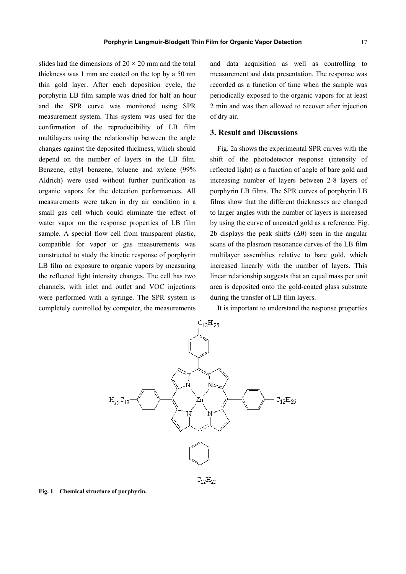slides had the dimensions of  $20 \times 20$  mm and the total thickness was 1 mm are coated on the top by a 50 nm thin gold layer. After each deposition cycle, the porphyrin LB film sample was dried for half an hour and the SPR curve was monitored using SPR measurement system. This system was used for the confirmation of the reproducibility of LB film multilayers using the relationship between the angle changes against the deposited thickness, which should depend on the number of layers in the LB film. Benzene, ethyl benzene, toluene and xylene (99% Aldrich) were used without further purification as organic vapors for the detection performances. All measurements were taken in dry air condition in a small gas cell which could eliminate the effect of water vapor on the response properties of LB film sample. A special flow cell from transparent plastic, compatible for vapor or gas measurements was constructed to study the kinetic response of porphyrin LB film on exposure to organic vapors by measuring the reflected light intensity changes. The cell has two channels, with inlet and outlet and VOC injections were performed with a syringe. The SPR system is completely controlled by computer, the measurements

and data acquisition as well as controlling to measurement and data presentation. The response was recorded as a function of time when the sample was periodically exposed to the organic vapors for at least 2 min and was then allowed to recover after injection of dry air.

# **3. Result and Discussions**

Fig. 2a shows the experimental SPR curves with the shift of the photodetector response (intensity of reflected light) as a function of angle of bare gold and increasing number of layers between 2-8 layers of porphyrin LB films. The SPR curves of porphyrin LB films show that the different thicknesses are changed to larger angles with the number of layers is increased by using the curve of uncoated gold as a reference. Fig. 2b displays the peak shifts  $(\Delta \theta)$  seen in the angular scans of the plasmon resonance curves of the LB film multilayer assemblies relative to bare gold, which increased linearly with the number of layers. This linear relationship suggests that an equal mass per unit area is deposited onto the gold-coated glass substrate during the transfer of LB film layers.

It is important to understand the response properties



**Fig. 1 Chemical structure of porphyrin.**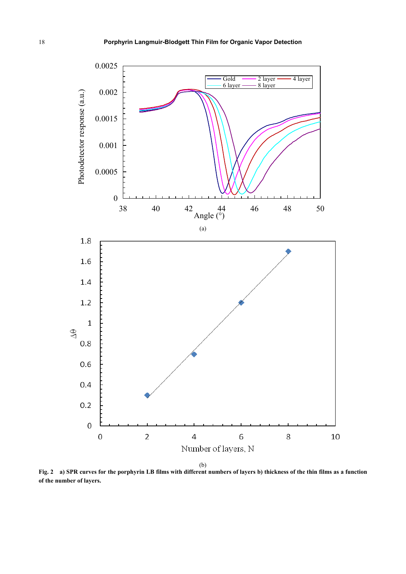

**Fig. 2 a) SPR curves for the porphyrin LB films with different numbers of layers b) thickness of the thin films as a function of the number of layers.**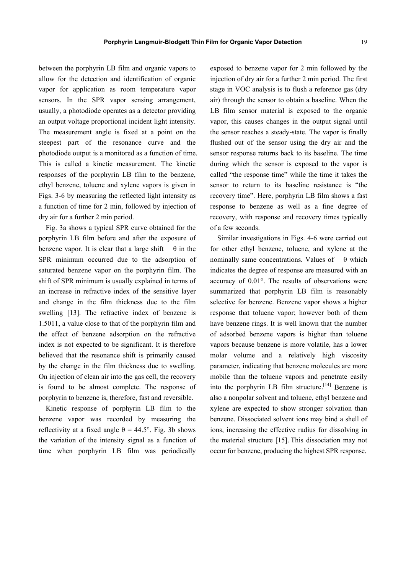between the porphyrin LB film and organic vapors to allow for the detection and identification of organic vapor for application as room temperature vapor sensors. In the SPR vapor sensing arrangement, usually, a photodiode operates as a detector providing an output voltage proportional incident light intensity. The measurement angle is fixed at a point on the steepest part of the resonance curve and the photodiode output is a monitored as a function of time. This is called a kinetic measurement. The kinetic responses of the porphyrin LB film to the benzene, ethyl benzene, toluene and xylene vapors is given in Figs. 3-6 by measuring the reflected light intensity as a function of time for 2 min, followed by injection of dry air for a further 2 min period.

Fig. 3a shows a typical SPR curve obtained for the porphyrin LB film before and after the exposure of benzene vapor. It is clear that a large shift  $\theta$  in the SPR minimum occurred due to the adsorption of saturated benzene vapor on the porphyrin film. The shift of SPR minimum is usually explained in terms of an increase in refractive index of the sensitive layer and change in the film thickness due to the film swelling [13]. The refractive index of benzene is 1.5011, a value close to that of the porphyrin film and the effect of benzene adsorption on the refractive index is not expected to be significant. It is therefore believed that the resonance shift is primarily caused by the change in the film thickness due to swelling. On injection of clean air into the gas cell, the recovery is found to be almost complete. The response of porphyrin to benzene is, therefore, fast and reversible.

Kinetic response of porphyrin LB film to the benzene vapor was recorded by measuring the reflectivity at a fixed angle  $θ = 44.5°$ . Fig. 3b shows the variation of the intensity signal as a function of time when porphyrin LB film was periodically

exposed to benzene vapor for 2 min followed by the injection of dry air for a further 2 min period. The first stage in VOC analysis is to flush a reference gas (dry air) through the sensor to obtain a baseline. When the LB film sensor material is exposed to the organic vapor, this causes changes in the output signal until the sensor reaches a steady-state. The vapor is finally flushed out of the sensor using the dry air and the sensor response returns back to its baseline. The time during which the sensor is exposed to the vapor is called "the response time" while the time it takes the sensor to return to its baseline resistance is "the recovery time". Here, porphyrin LB film shows a fast response to benzene as well as a fine degree of recovery, with response and recovery times typically of a few seconds.

Similar investigations in Figs. 4-6 were carried out for other ethyl benzene, toluene, and xylene at the nominally same concentrations. Values of  $\theta$  which indicates the degree of response are measured with an accuracy of 0.01°. The results of observations were summarized that porphyrin LB film is reasonably selective for benzene. Benzene vapor shows a higher response that toluene vapor; however both of them have benzene rings. It is well known that the number of adsorbed benzene vapors is higher than toluene vapors because benzene is more volatile, has a lower molar volume and a relatively high viscosity parameter, indicating that benzene molecules are more mobile than the toluene vapors and penetrate easily into the porphyrin LB film structure.<sup>[14]</sup> Benzene is also a nonpolar solvent and toluene, ethyl benzene and xylene are expected to show stronger solvation than benzene. Dissociated solvent ions may bind a shell of ions, increasing the effective radius for dissolving in the material structure [15]. This dissociation may not occur for benzene, producing the highest SPR response.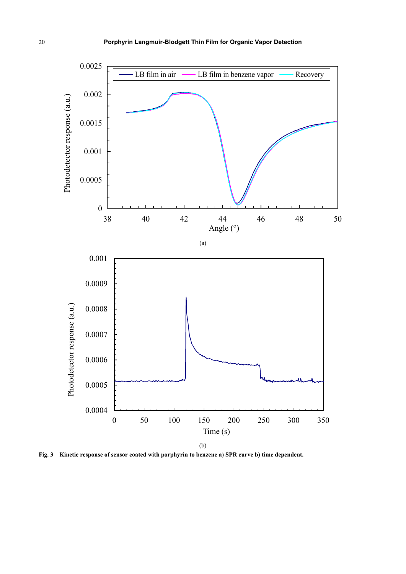

**Fig. 3 Kinetic response of sensor coated with porphyrin to benzene a) SPR curve b) time dependent.**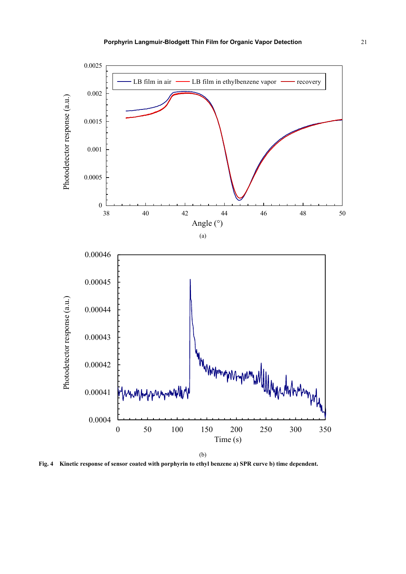

**Fig. 4 Kinetic response of sensor coated with porphyrin to ethyl benzene a) SPR curve b) time dependent.**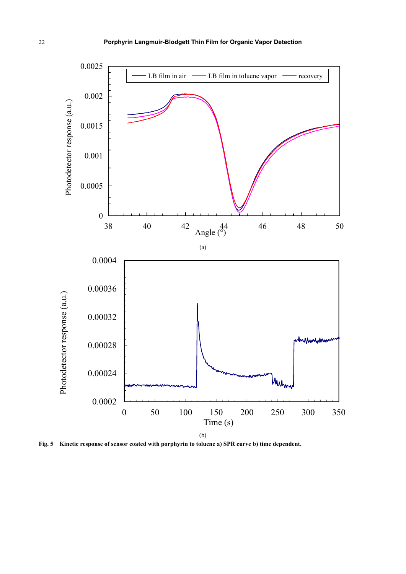![](_page_7_Figure_1.jpeg)

**Fig. 5 Kinetic response of sensor coated with porphyrin to toluene a) SPR curve b) time dependent.**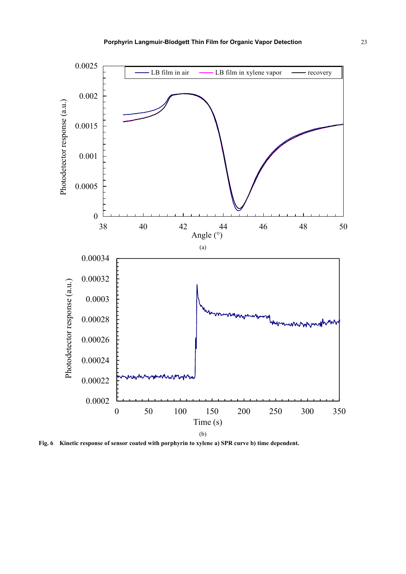![](_page_8_Figure_1.jpeg)

**Fig. 6 Kinetic response of sensor coated with porphyrin to xylene a) SPR curve b) time dependent.**